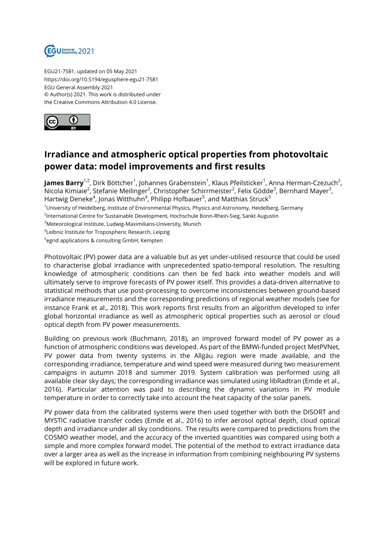

EGU21-7581, updated on 05 May 2021 https://doi.org/10.5194/egusphere-egu21-7581 EGU General Assembly 2021 © Author(s) 2021. This work is distributed under the Creative Commons Attribution 4.0 License.



## **Irradiance and atmospheric optical properties from photovoltaic power data: model improvements and first results**

**James Barry<sup>1,2</sup>,** Dirk Böttcher<sup>1</sup>, Johannes Grabenstein<sup>1</sup>, Klaus Pfeilsticker<sup>1</sup>, Anna Herman-Czezuch<sup>2</sup>, Nicola Kimiaie<sup>2</sup>, Stefanie Meilinger<sup>2</sup>, Christopher Schirrmeister<sup>2</sup>, Felix Gödde<sup>3</sup>, Bernhard Mayer<sup>3</sup>, Hartwig Deneke $^4$ , Jonas Witthuhn $^4$ , Philipp Hofbauer $^5$ , and Matthias Struck $^5$ 

<sup>1</sup>University of Heidelberg, Institute of Environmental Physics, Physics and Astronomy, Heidelberg, Germany

<sup>2</sup>International Centre for Sustainable Development, Hochschule Bonn-Rhein-Sieg, Sankt Augustin

<sup>3</sup>Meteorological Institute, Ludwig-Maximilians-University, Munich

4 Leibniz Institute for Tropospheric Research, Leipzig

<sup>5</sup>egrid applications & consulting GmbH, Kempten

Photovoltaic (PV) power data are a valuable but as yet under-utilised resource that could be used to characterise global irradiance with unprecedented spatio-temporal resolution. The resulting knowledge of atmospheric conditions can then be fed back into weather models and will ultimately serve to improve forecasts of PV power itself. This provides a data-driven alternative to statistical methods that use post-processing to overcome inconsistencies between ground-based irradiance measurements and the corresponding predictions of regional weather models (see for instance Frank et al., 2018). This work reports first results from an algorithm developed to infer global horizontal irradiance as well as atmospheric optical properties such as aerosol or cloud optical depth from PV power measurements.

Building on previous work (Buchmann, 2018), an improved forward model of PV power as a function of atmospheric conditions was developed. As part of the BMWi-funded project MetPVNet, PV power data from twenty systems in the Allgäu region were made available, and the corresponding irradiance, temperature and wind speed were measured during two measurement campaigns in autumn 2018 and summer 2019. System calibration was performed using all available clear sky days; the corresponding irradiance was simulated using libRadtran (Emde et al., 2016). Particular attention was paid to describing the dynamic variations in PV module temperature in order to correctly take into account the heat capacity of the solar panels.

PV power data from the calibrated systems were then used together with both the DISORT and MYSTIC radiative transfer codes (Emde et al., 2016) to infer aerosol optical depth, cloud optical depth and irradiance under all sky conditions. The results were compared to predictions from the COSMO weather model, and the accuracy of the inverted quantities was compared using both a simple and more complex forward model. The potential of the method to extract irradiance data over a larger area as well as the increase in information from combining neighbouring PV systems will be explored in future work.